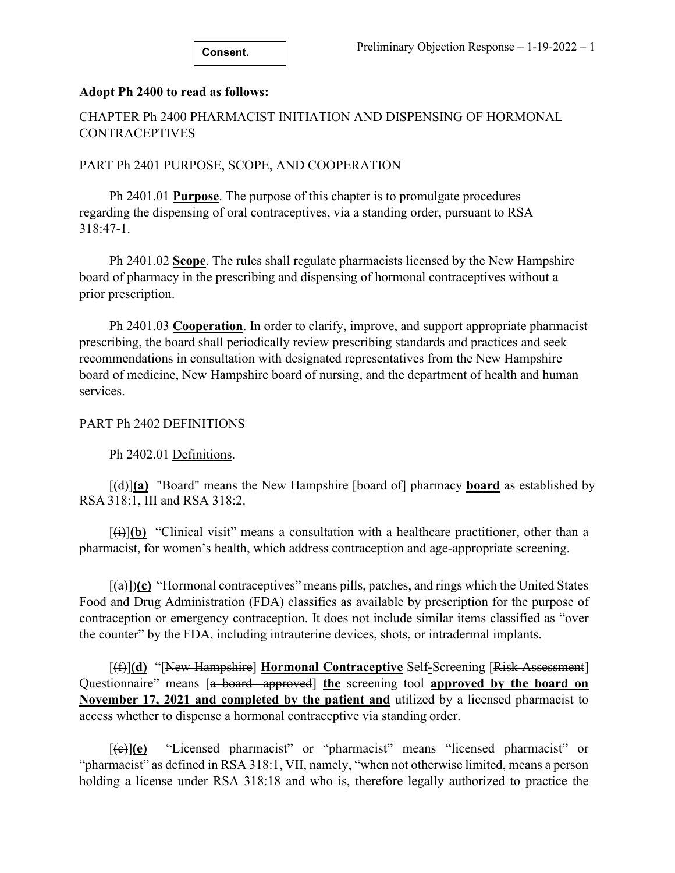### **Adopt Ph 2400 to read as follows:**

## CHAPTER Ph 2400 PHARMACIST INITIATION AND DISPENSING OF HORMONAL **CONTRACEPTIVES**

### PART Ph 2401 PURPOSE, SCOPE, AND COOPERATION

Ph 2401.01 **Purpose**. The purpose of this chapter is to promulgate procedures regarding the dispensing of oral contraceptives, via a standing order, pursuant to RSA 318:47-1.

Ph 2401.02 **Scope**. The rules shall regulate pharmacists licensed by the New Hampshire board of pharmacy in the prescribing and dispensing of hormonal contraceptives without a prior prescription.

Ph 2401.03 **Cooperation**. In order to clarify, improve, and support appropriate pharmacist prescribing, the board shall periodically review prescribing standards and practices and seek recommendations in consultation with designated representatives from the New Hampshire board of medicine, New Hampshire board of nursing, and the department of health and human services.

#### PART Ph 2402 DEFINITIONS

Ph 2402.01 Definitions.

[(d)]**(a)** "Board" means the New Hampshire [board of] pharmacy **board** as established by RSA 318:1, III and RSA 318:2.

 $[\hat{a},\hat{b}]$  "Clinical visit" means a consultation with a healthcare practitioner, other than a pharmacist, for women's health, which address contraception and age-appropriate screening.

[(a)])**(c)** "Hormonal contraceptives" means pills, patches, and rings which the United States Food and Drug Administration (FDA) classifies as available by prescription for the purpose of contraception or emergency contraception. It does not include similar items classified as "over the counter" by the FDA, including intrauterine devices, shots, or intradermal implants.

[(f)]**(d)** "[New Hampshire] **Hormonal Contraceptive** Self**-**Screening [Risk Assessment] Questionnaire" means [a board- approved] **the** screening tool **approved by the board on November 17, 2021 and completed by the patient and** utilized by a licensed pharmacist to access whether to dispense a hormonal contraceptive via standing order.

[(c)]**(e)** "Licensed pharmacist" or "pharmacist" means "licensed pharmacist" or "pharmacist" as defined in RSA 318:1, VII, namely, "when not otherwise limited, means a person holding a license under RSA 318:18 and who is, therefore legally authorized to practice the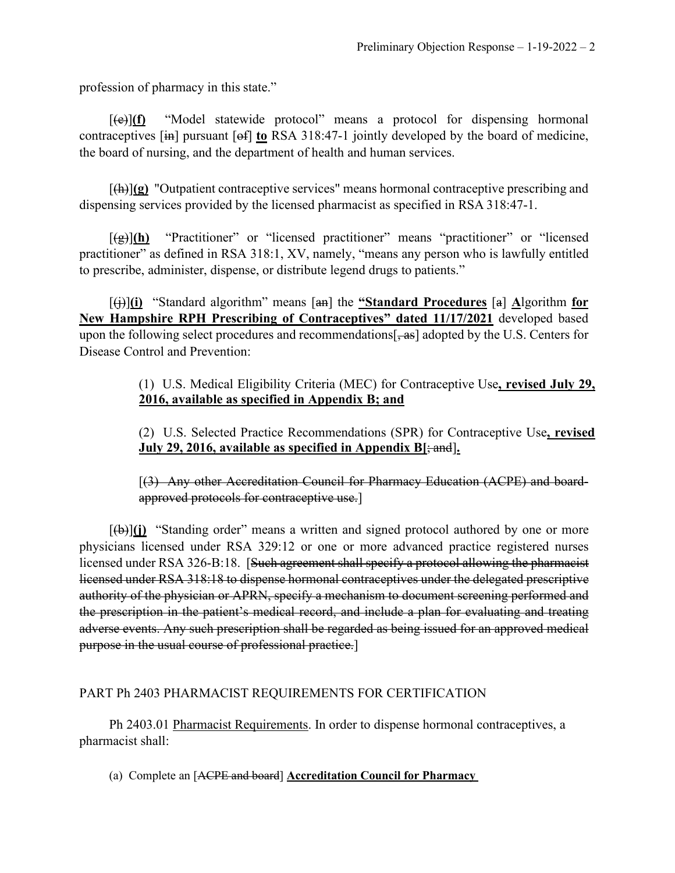profession of pharmacy in this state."

[(e)]**(f)** "Model statewide protocol" means a protocol for dispensing hormonal contraceptives [in] pursuant [of] **to** RSA 318:47-1 jointly developed by the board of medicine, the board of nursing, and the department of health and human services.

[(h)]**(g)** "Outpatient contraceptive services" means hormonal contraceptive prescribing and dispensing services provided by the licensed pharmacist as specified in RSA 318:47-1.

[(g)]**(h)** "Practitioner" or "licensed practitioner" means "practitioner" or "licensed practitioner" as defined in RSA 318:1, XV, namely, "means any person who is lawfully entitled to prescribe, administer, dispense, or distribute legend drugs to patients."

[(j)]**(i)** "Standard algorithm" means [an] the **"Standard Procedures** [a] **A**lgorithm **for New Hampshire RPH Prescribing of Contraceptives" dated 11/17/2021** developed based upon the following select procedures and recommendations  $\frac{1}{2}$ , as adopted by the U.S. Centers for Disease Control and Prevention:

> (1) U.S. Medical Eligibility Criteria (MEC) for Contraceptive Use**, revised July 29, 2016, available as specified in Appendix B; and**

> (2) U.S. Selected Practice Recommendations (SPR) for Contraceptive Use**, revised July 29, 2016, available as specified in Appendix B[**; and]**.**

[(3) Any other Accreditation Council for Pharmacy Education (ACPE) and boardapproved protocols for contraceptive use.]

[(b)]**(j)** "Standing order" means a written and signed protocol authored by one or more physicians licensed under RSA 329:12 or one or more advanced practice registered nurses licensed under RSA 326-B:18. [Such agreement shall specify a protocol allowing the pharmacist licensed under RSA 318:18 to dispense hormonal contraceptives under the delegated prescriptive authority of the physician or APRN, specify a mechanism to document screening performed and the prescription in the patient's medical record, and include a plan for evaluating and treating adverse events. Any such prescription shall be regarded as being issued for an approved medical purpose in the usual course of professional practice.]

## PART Ph 2403 PHARMACIST REQUIREMENTS FOR CERTIFICATION

Ph 2403.01 Pharmacist Requirements. In order to dispense hormonal contraceptives, a pharmacist shall:

(a) Complete an [ACPE and board] **Accreditation Council for Pharmacy**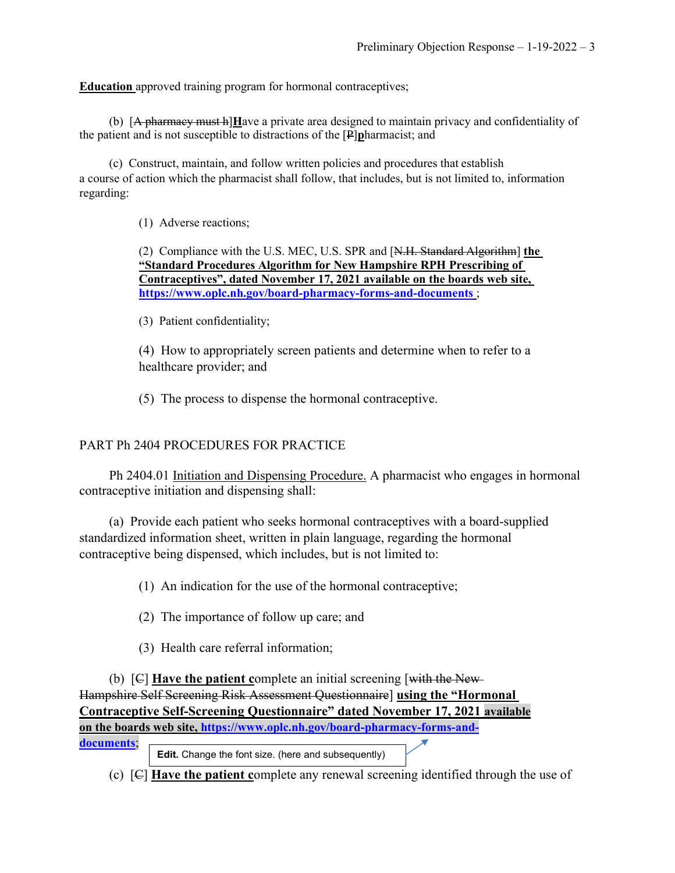**Education** approved training program for hormonal contraceptives;

(b) [A pharmacy must h]**H**ave a private area designed to maintain privacy and confidentiality of the patient and is not susceptible to distractions of the [P]**p**harmacist; and

(c) Construct, maintain, and follow written policies and procedures that establish a course of action which the pharmacist shall follow, that includes, but is not limited to, information regarding:

(1) Adverse reactions;

(2) Compliance with the U.S. MEC, U.S. SPR and [N.H. Standard Algorithm] **the "Standard Procedures Algorithm for New Hampshire RPH Prescribing of Contraceptives", dated November 17, 2021 available on the boards web site, <https://www.oplc.nh.gov/board-pharmacy-forms-and-documents>** ;

(3) Patient confidentiality;

(4) How to appropriately screen patients and determine when to refer to a healthcare provider; and

(5) The process to dispense the hormonal contraceptive.

## PART Ph 2404 PROCEDURES FOR PRACTICE

Ph 2404.01 Initiation and Dispensing Procedure. A pharmacist who engages in hormonal contraceptive initiation and dispensing shall:

(a) Provide each patient who seeks hormonal contraceptives with a board-supplied standardized information sheet, written in plain language, regarding the hormonal contraceptive being dispensed, which includes, but is not limited to:

(1) An indication for the use of the hormonal contraceptive;

(2) The importance of follow up care; and

(3) Health care referral information;

(b) [C] **Have the patient c**omplete an initial screening [with the New Hampshire Self Screening Risk Assessment Questionnaire] **using the "Hormonal Contraceptive Self-Screening Questionnaire" dated November 17, 2021 available on the boards web site, [https://www.oplc.nh.gov/board-pharmacy-forms-and-](https://www.oplc.nh.gov/board-pharmacy-forms-and-documents)**

**[documents](https://www.oplc.nh.gov/board-pharmacy-forms-and-documents)**;

**Edit.** Change the font size. (here and subsequently)

(c) [C] **Have the patient c**omplete any renewal screening identified through the use of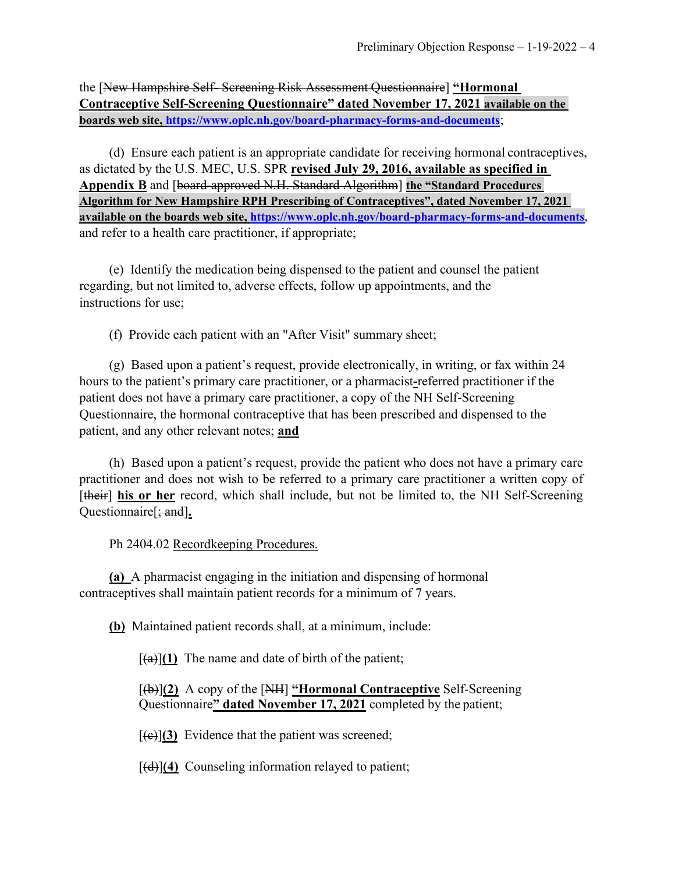the [New Hampshire Self- Screening Risk Assessment Questionnaire] **"Hormonal Contraceptive Self-Screening Questionnaire" dated November 17, 2021 available on the boards web site,<https://www.oplc.nh.gov/board-pharmacy-forms-and-documents>**;

(d) Ensure each patient is an appropriate candidate for receiving hormonal contraceptives, as dictated by the U.S. MEC, U.S. SPR **revised July 29, 2016, available as specified in Appendix B** and [board-approved N.H. Standard Algorithm] **the "Standard Procedures Algorithm for New Hampshire RPH Prescribing of Contraceptives", dated November 17, 2021 available on the boards web site,<https://www.oplc.nh.gov/board-pharmacy-forms-and-documents>**, and refer to a health care practitioner, if appropriate;

(e) Identify the medication being dispensed to the patient and counsel the patient regarding, but not limited to, adverse effects, follow up appointments, and the instructions for use;

(f) Provide each patient with an "After Visit" summary sheet;

(g) Based upon a patient's request, provide electronically, in writing, or fax within 24 hours to the patient's primary care practitioner, or a pharmacist**-**referred practitioner if the patient does not have a primary care practitioner, a copy of the NH Self-Screening Questionnaire, the hormonal contraceptive that has been prescribed and dispensed to the patient, and any other relevant notes; **and**

(h) Based upon a patient's request, provide the patient who does not have a primary care practitioner and does not wish to be referred to a primary care practitioner a written copy of [their] **his or her** record, which shall include, but not be limited to, the NH Self-Screening Questionnaire[; and]**.**

Ph 2404.02 Recordkeeping Procedures.

**(a)** A pharmacist engaging in the initiation and dispensing of hormonal contraceptives shall maintain patient records for a minimum of 7 years.

**(b)** Maintained patient records shall, at a minimum, include:

 $[(a)(1)$  The name and date of birth of the patient;

[(b)]**(2)** A copy of the [NH] **"Hormonal Contraceptive** Self-Screening Questionnaire**" dated November 17, 2021** completed by the patient;

 $[(e)](3)$  Evidence that the patient was screened;

[(d)]**(4)** Counseling information relayed to patient;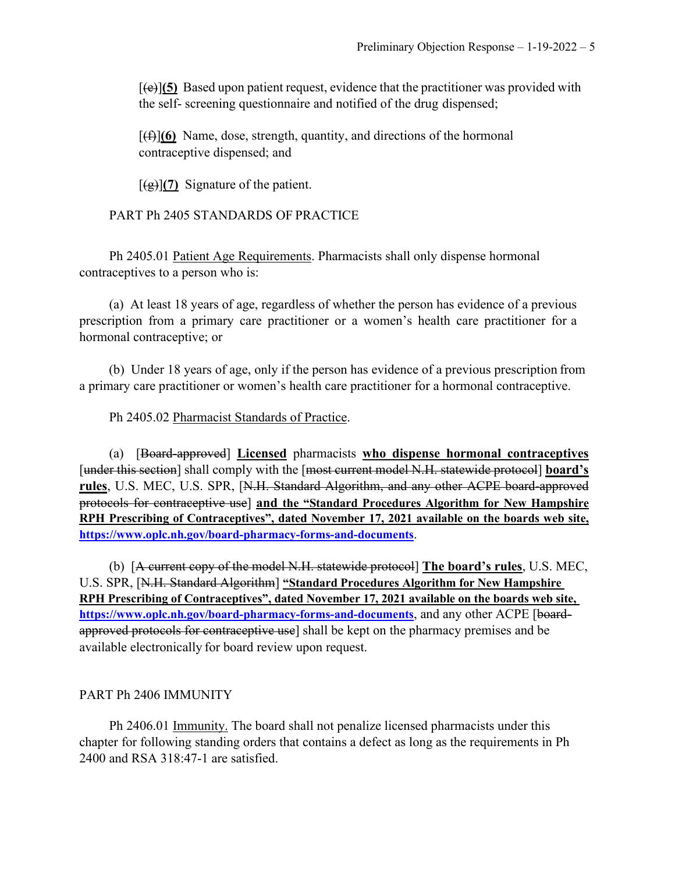[(e)]**(5)** Based upon patient request, evidence that the practitioner was provided with the self- screening questionnaire and notified of the drug dispensed;

 $[(f)(6)$  Name, dose, strength, quantity, and directions of the hormonal contraceptive dispensed; and

 $\left[\frac{1}{2}\right]$  (7) Signature of the patient.

PART Ph 2405 STANDARDS OF PRACTICE

Ph 2405.01 Patient Age Requirements. Pharmacists shall only dispense hormonal contraceptives to a person who is:

(a) At least 18 years of age, regardless of whether the person has evidence of a previous prescription from a primary care practitioner or a women's health care practitioner for a hormonal contraceptive; or

(b) Under 18 years of age, only if the person has evidence of a previous prescription from a primary care practitioner or women's health care practitioner for a hormonal contraceptive.

Ph 2405.02 Pharmacist Standards of Practice.

(a) [Board-approved] **Licensed** pharmacists **who dispense hormonal contraceptives** [under this section] shall comply with the [most current model N.H. statewide protocol] **board's rules**, U.S. MEC, U.S. SPR, [N.H. Standard Algorithm, and any other ACPE board-approved protocols for contraceptive use] **and the "Standard Procedures Algorithm for New Hampshire RPH Prescribing of Contraceptives", dated November 17, 2021 available on the boards web site, <https://www.oplc.nh.gov/board-pharmacy-forms-and-documents>**.

(b) [A current copy of the model N.H. statewide protocol] **The board's rules**, U.S. MEC, U.S. SPR, [N.H. Standard Algorithm] **"Standard Procedures Algorithm for New Hampshire RPH Prescribing of Contraceptives", dated November 17, 2021 available on the boards web site, <https://www.oplc.nh.gov/board-pharmacy-forms-and-documents>**, and any other ACPE [boardapproved protocols for contraceptive use] shall be kept on the pharmacy premises and be available electronically for board review upon request.

### PART Ph 2406 IMMUNITY

Ph 2406.01 Immunity. The board shall not penalize licensed pharmacists under this chapter for following standing orders that contains a defect as long as the requirements in Ph 2400 and RSA 318:47-1 are satisfied.